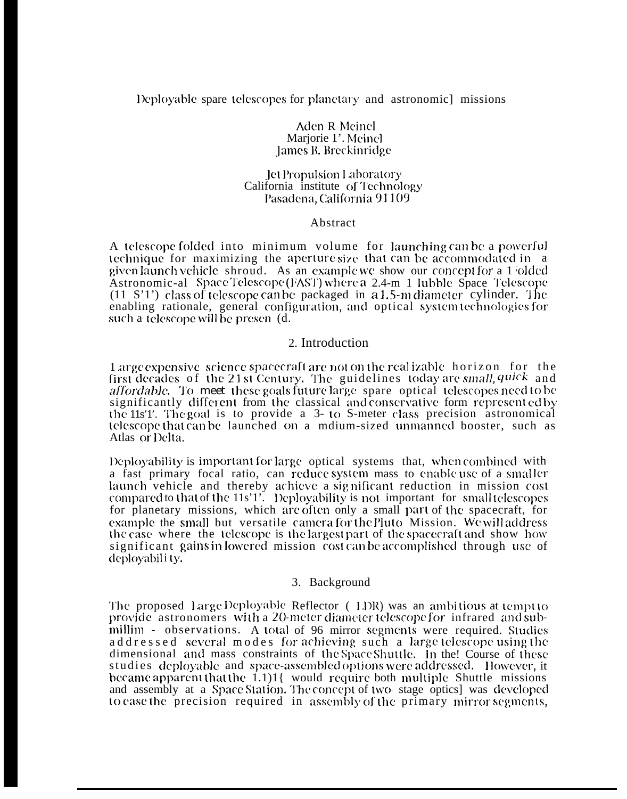# Deployable spare telescopes for planetary and astronomic missions

#### Aden R Meinel Marjorie 1'. Meinel James B. Breckinridge

#### Jet Propulsion Laboratory California institute of Technology Pasadena, California 91109

#### Abstract

A telescope folded into minimum volume for launching can be a powerful technique for maximizing the aperture size that can be accommodated in a given launch vehicle shroud. As an example we show our concept for a 1 olded Astronomic-al Space Telescope (FAST) where a 2.4-m 1 lubble Space Telescope  $(11 S'1')$  class of telescope can be packaged in a 1.5-m diameter cylinder. The enabling rationale, general configuration, and optical system technologies for such a telescope will be presen (d.

## 2. Introduction

1 arge expensive science spacecraft are not on the realizable horizon for the first decades of the 21st Century. The guidelines today are small, quick and *affordable.* To meet these goals future large spare optical telescopes need to be significantly different from the classical and conservative form represented by the 11s'1'. The goal is to provide a 3-to S-meter class precision astronomical telescope that can be launched on a mdium-sized unmanned booster, such as Atlas or Delta.

Deployability is important for large optical systems that, when combined with a fast primary focal ratio, can reduce system mass to enable use of a smaller launch vehicle and thereby achieve a significant reduction in mission cost compared to that of the 11s'1'. Deployability is not important for small telescopes for planetary missions, which are often only a small part of the spacecraft, for example the small but versatile camera for the Pluto Mission. We will address the case where the telescope is the largest part of the spacecraft and show how significant gains in lowered mission cost can be accomplished through use of deployabili ty.

#### 3. Background

The proposed Large Deployable Reflector (LDR) was an ambitious at tempt to provide astronomers with a 20-meter diameter telescope for infrared and submillim - observations. A total of 96 mirror segments were required. Studies addressed several modes for achieving such a large telescope using the dimensional and mass constraints of the Space Shuttle. In the! Course of these studies deployable and space-assembled options were addressed. However, it became apparent that the 1.1)1{ would require both multiple Shuttle missions and assembly at a Space Station. The concept of two-stage optics] was developed to ease the precision required in assembly of the primary mirror segments,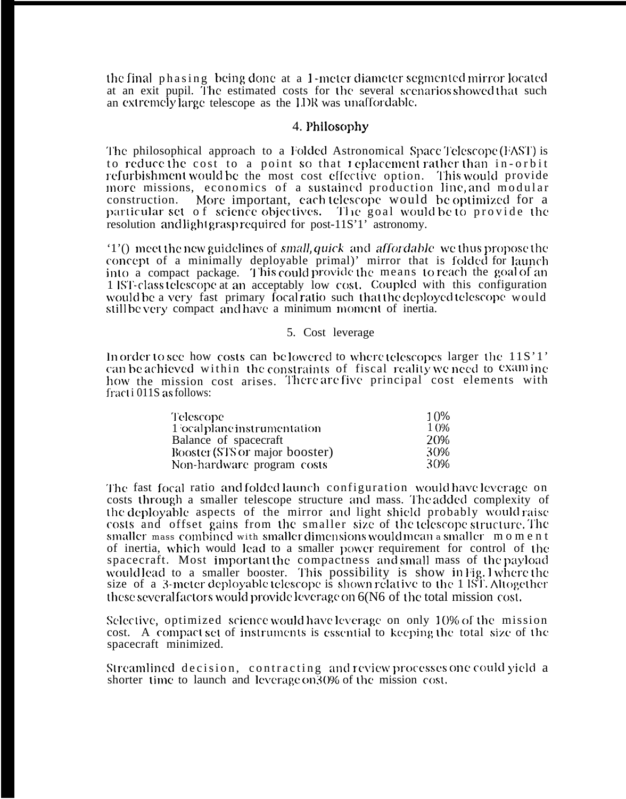the final phasing being done at a <sup>1</sup> -meter diameter scgmcmtcd mirror located at an exit pupil. The estimated costs for the several scenarios showed that such an extremely large telescope as the LDR was unaffordable.

## 4. Philosophy

The philosophical approach to a Folded Astronomical Space Telescope (FAST) is to reduce the cost to a point so that replacement rather than in-orbit refurbishment would be the most cost effective option. This would provide more missions, economics of a sustained production line, and modular construction. More important, each telescope would be optimized for a particular set of science objectives. The goal would be to provide the resolution and light grasp required for post-11S'1' astronomy.

'1'() meet the new guidelines of *small, quick* and *affordable* we thus propose the concept of a minimally deployable primal)' mirror that is folded for launch into a compact package. This could provide the means to reach the goal of an 1 iS'1'-class telescope at an acceptably low cosl. Coupled with this configuration would be a very fast primary focal ratio such that the deployed telescope would still be very compact and have a minimum moment of inertia.

### 5. Cost leverage

In order to see how costs can be lowered to where telescopes larger the  $11S'1'$ can be achieved within the constraints of fiscal reality we need to examine how the mission cost arises. There are five principal cost elements with fract i 011S as follows:

| <b>Telescope</b>               | 10%  |
|--------------------------------|------|
| 1 ocalplane instrumentation    | 10%  |
| Balance of spacecraft          | 20%  |
| Booster (STS or major booster) | -30% |
| Non-hardware program costs     | 30%  |

The fast focal ratio and folded launch configuration would have leverage on costs through a smaller telescope structure and mass. The added complexity of the deployable aspects of the mirror and light shield probably would raise costs and offset gains from the smaller size of the telescope structure. The smaller mass combined with smaller dimensions would mean a smaller moment of inertia, which would lead to a smaller power requirement for control of the spacecraft. Most important the compactness and small mass of the payload wouldlead to a smaller booster. This possibility is show in Fig. 1 where the size of a 3-meter deployable telescope is shown relative to the  $1 \overline{\text{S}T}$ . Altogether these several factors would provide leverage on  $6(N6)$  of the total mission cost.

Selective, optimized science would have leverage on only 10% of the mission cost. A compacl set of instrummts is csscntiai to keeping the total siw of the spacecraft minimized.

Streamlined decision, contracting and review processes one could yield a shorter time to launch and leverage on 30% of the mission cost.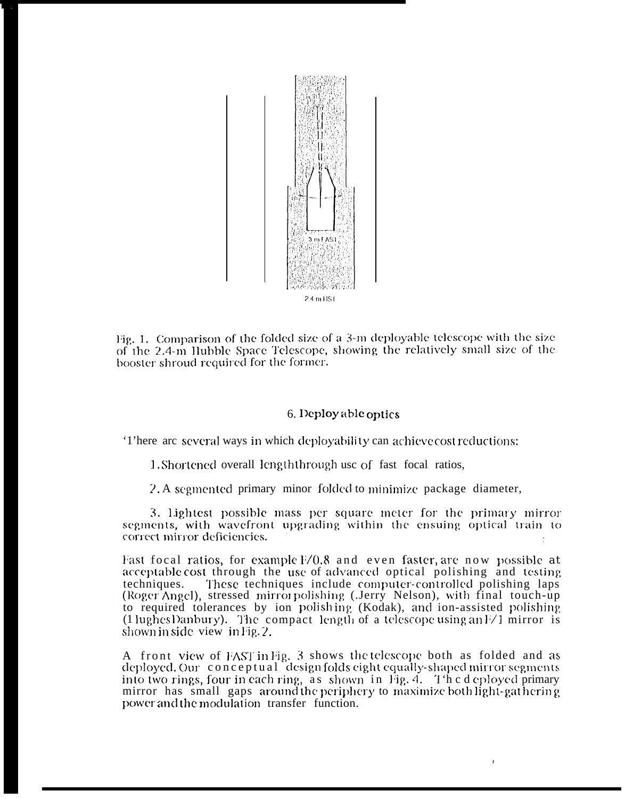

Fig. 1. Comparison of the folded size of a 3-m deployable telescope with the size of the 2.4-m Hubble Space Telescope, showing the relatively small size of the booster shroud required for the former.

### 6. Deploy able optics

There are several ways in which deployability can achieve cost reductions:

1. Shortened overall length through use of fast focal ratios,

2. A segmented primary minor folded to minimize package diameter,

3. lightest possible mass per square meter for the primary mirror segments, with wavefront upgrading within the ensuing optical train to correct mirror deficiencies.

Fast focal ratios, for example F/0.8 and even faster, are now possible at acceptable cost through the use of advanced optical polishing and testing techniques. These techniques include computer-controlled polishing laps (Roger Angel), stressed mirrorpolishing (Jerry Nelson), with final touch-up to required tolerances by ion polishing (Kodak), and ion-assisted polishing  $(1 \text{ lughesDanbury})$ . The compact length of a telescope using an  $1/1$  mirror is shown in side view in Fig. 2.

A front view of FAST in Fig. 3 shows the telescope both as folded and as deployed. Our conceptual design folds eight equally-shaped mirror segments into two rings, four in each ring, as shown in Fig. 4. The deployed primary mirror has small gaps around the periphery to maximize both light-gat hering power and the modulation transfer function.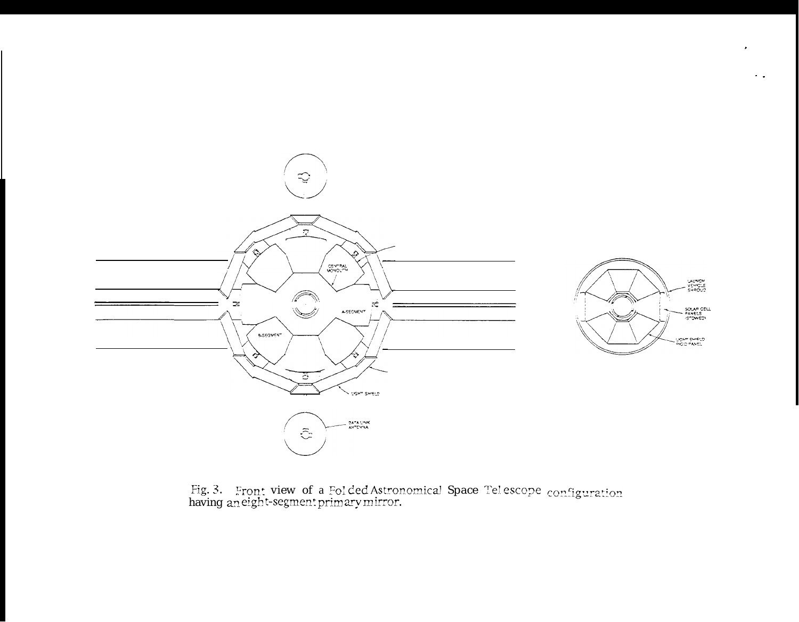

 $\sim$   $\sim$ 

Fig. 3. Front view of a Folded Astronomical Space Telescope  $\rm configuration$  having an eight-segment primary mirror.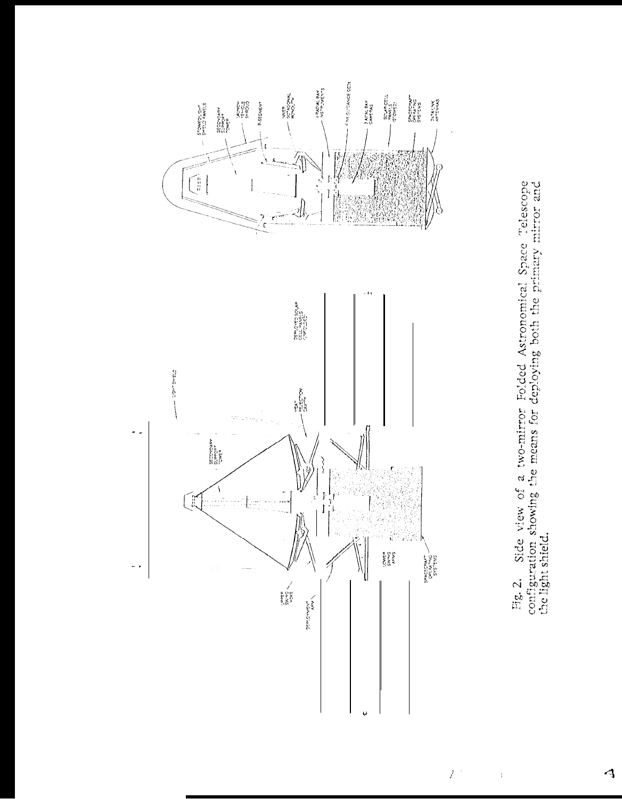

Fig. 2. Side view of a two-mirror Folded Astronomical Space Telescope configuration showing the means for deploying both the primary mirror and the light shield.

 $\tilde{Z}^{(1)}$ 

 $\bar{1}$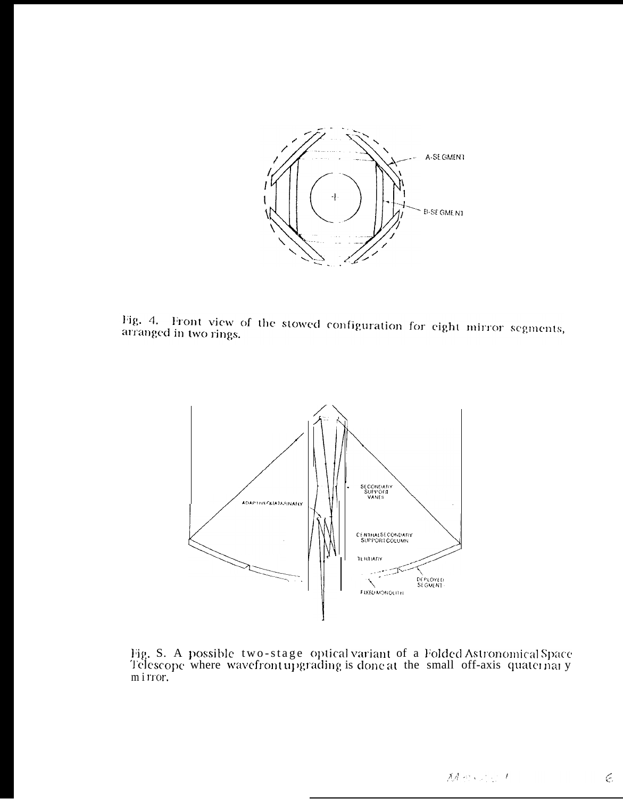

Fig. 4. Front view of the stowed configuration for eight mirror segments, arranged in two rings.



Fig. S. A possible two-stage optical variant of a Folded Astronomical Space Telescope where wavefront upgrading is done at the small off-axis quaternary mirror.